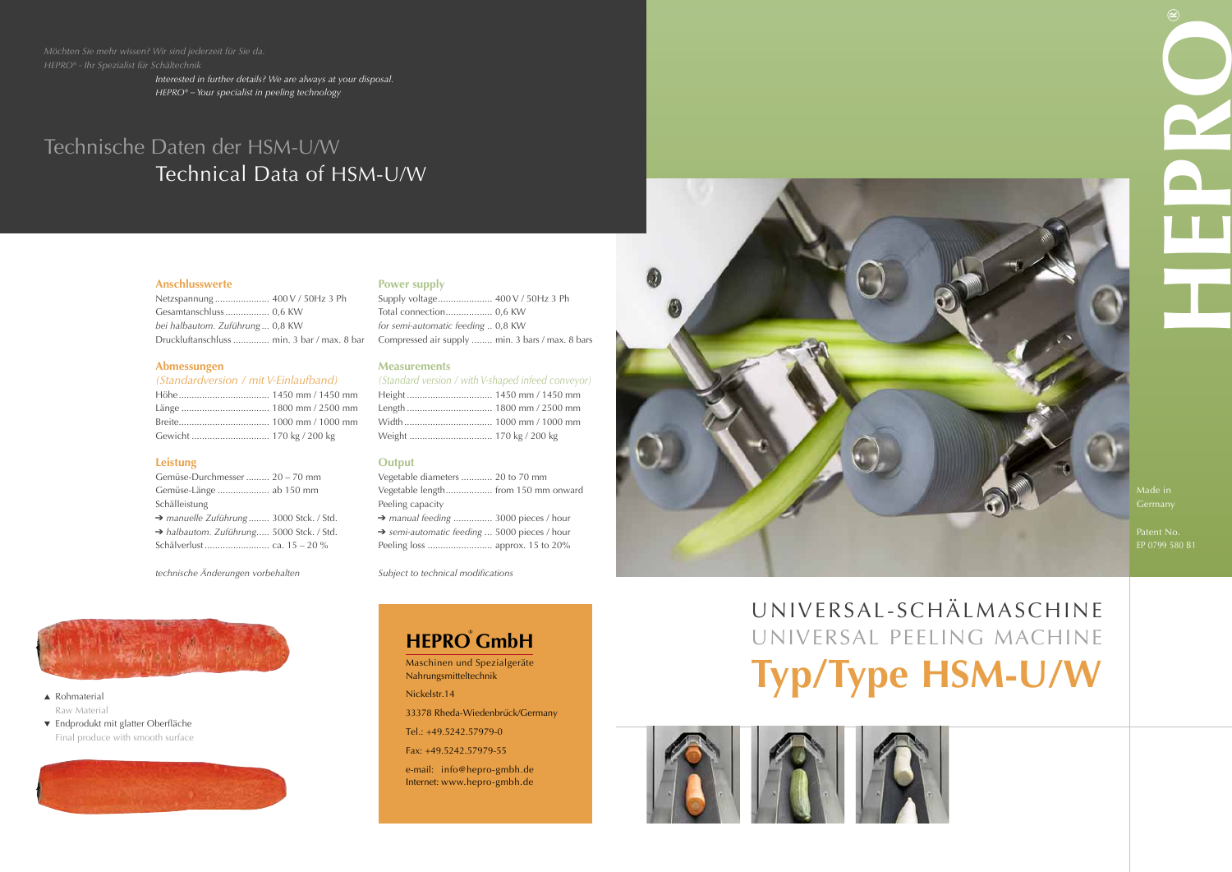

## UNIVERSAL-SCHÄL MASCHINE UNIVERSAL PEELING MACHINE **Typ/Type HSM-U/W**





Patent No.



#### **Anschlusswerte**

| Netzspannung  400 V / 50Hz 3 Ph             |  |
|---------------------------------------------|--|
|                                             |  |
| bei halbautom. Zuführung  0,8 KW            |  |
| Druckluftanschluss  min. 3 bar / max. 8 bar |  |

### **Abmessungen**

### *(Standardversion / mit V-Einlaufband)*

### **Leistung**

| Gemüse-Durchmesser  20 – 70 mm                       |
|------------------------------------------------------|
| Gemüse-Länge  ab 150 mm                              |
| Schälleistung                                        |
| manuelle Zuführung  3000 Stck. / Std.                |
| $\rightarrow$ halbautom. Zuführung 5000 Stck. / Std. |
| Schälverlust  ca. 15 – 20 %                          |
|                                                      |

*technische Änderungen vorbehalten*

### **Power supply**

### ▲ Rohmaterial Raw Material

| for semi-automatic feeding  0,8 KW               |  |
|--------------------------------------------------|--|
| Compressed air supply  min. 3 bars / max. 8 bars |  |

#### **Measurements**

### *(Standard version / with V-shaped infeed conveyor)*

### **Output**

| Vegetable diameters  20 to 70 mm                         |  |
|----------------------------------------------------------|--|
| Vegetable length from 150 mm onward                      |  |
| Peeling capacity                                         |  |
| $\rightarrow$ manual feeding  3000 pieces / hour         |  |
| $\rightarrow$ semi-automatic feeding  5000 pieces / hour |  |
|                                                          |  |

*Subject to technical modifications*



### Technische Daten der HSM-U/W Technical Data of HSM-U/W

*Interested in further details? We are always at your disposal. HEPRO® – Your specialist in peeling technology*

▼ Endprodukt mit glatter Oberfläche Final produce with smooth surface



### **HEPRO® GmbH**

Maschinen und Spezialgeräte Nahrungsmitteltechnik

Nickelstr.14

33378 Rheda-Wiedenbrück/Germany

Tel.: +49.5242.57979-0

Fax: +49.5242.57979-55

e-mail: info@hepro-gmbh.de Internet: www.hepro-gmbh.de